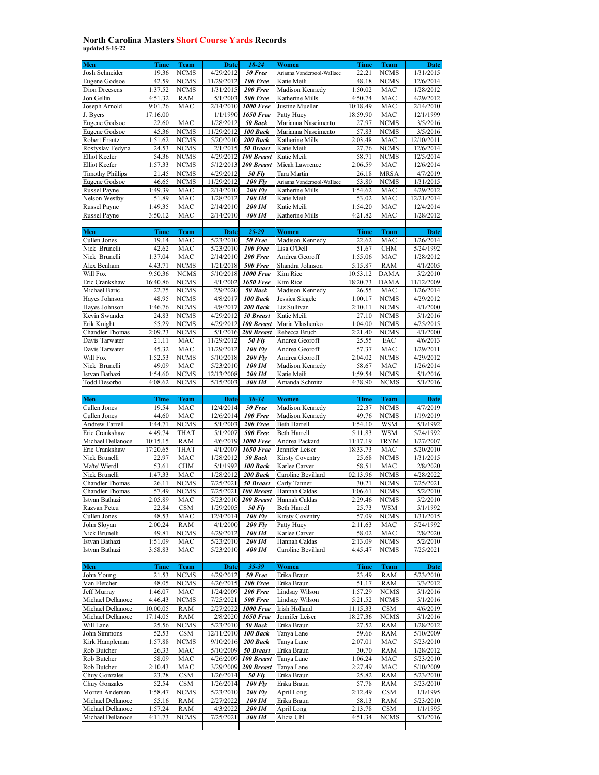| Men                                    | <b>Time</b>        | <b>Team</b> | <b>Date</b>           | 18-24                | <b>Women</b>               | <b>Time</b>        | <b>Team</b> | <b>Date</b>          |
|----------------------------------------|--------------------|-------------|-----------------------|----------------------|----------------------------|--------------------|-------------|----------------------|
| Josh Schneider                         | 19.36              | <b>NCMS</b> | 4/29/2012             | 50 Free              | Arianna Vanderpool-Wallace | 22.21              | <b>NCMS</b> | 1/31/2015            |
| Eugene Godsoe                          | 42.59              | <b>NCMS</b> | 11/29/2012            | 100 Free             | Katie Meili                | 48.18              | <b>NCMS</b> | 12/6/2014            |
| Dion Dreesens                          | 1:37.52            | <b>NCMS</b> | 1/31/2015             | 200 Free             | Madison Kennedy            | 1:50.02            | MAC         | 1/28/2012            |
| Jon Gellin                             | 4:51.32            | RAM         | 5/1/2003              | <b>500 Free</b>      | Katherine Mills            | 4:50.74            | MAC         | 4/29/2012            |
| Joseph Arnold                          | 9:01.26            | MAC         | 2/14/2010             | <b>1000 Free</b>     | Justine Mueller            | 10:18.49           | MAC         | 2/14/2010            |
| J. Byers                               | 17:16.00           |             | 1/1/1990              | <b>1650 Free</b>     | Patty Huev                 | 18:59.90           | MAC         | 12/1/1999            |
| Eugene Godsoe                          | 22.60              | MAC         | 1/28/2012             | 50 Back              | Marianna Nascimento        | 27.97              | <b>NCMS</b> | 3/5/2016             |
| Eugene Godsoe                          | 45.36              | <b>NCMS</b> | 11/29/2012            | 100 Back             | Marianna Nascimento        | 57.83              | <b>NCMS</b> | 3/5/2016             |
| Robert Frantz                          | 1:51.62            | <b>NCMS</b> | 5/20/2010             | 200 Back             | Katherine Mills            | 2:03.48            | MAC         | 12/10/2011           |
| Rostyslav Fedyna                       | 24.53              | <b>NCMS</b> | 2/1/2015              | 50 Breast            | Katie Meili                | 27.76              | <b>NCMS</b> | 12/6/2014            |
| Elliot Keefer                          |                    | <b>NCMS</b> | 4/29/2012             | 100 Breast           | Katie Meili                |                    |             | 12/5/2014            |
|                                        | 54.36              |             |                       |                      |                            | 58.71              | <b>NCMS</b> |                      |
| Elliot Keefer                          | 1:57.33            | <b>NCMS</b> | 5/12/2013             | 200 Breast           | Micah Lawrence             | 2:06.59            | MAC         | 12/6/2014            |
| <b>Timothy Phillips</b>                | 21.45              | <b>NCMS</b> | 4/29/2012             | <b>50 Fly</b>        | Tara Martin                | 26.18              | <b>MRSA</b> | 4/7/2019             |
| Eugene Godsoe                          | 46.65              | <b>NCMS</b> | 11/29/2012            | <b>100 Flv</b>       | Arianna Vanderpool-Wallace | 53.80              | <b>NCMS</b> | 1/31/2015            |
| <b>Russel Payne</b>                    | 1:49.39            | MAC         | 2/14/2010             | <b>200 Fly</b>       | Katherine Mills            | 1:54.62            | MAC         | 4/29/2012            |
| Nelson Westby                          | 51.89              | <b>MAC</b>  | 1/28/2012             | 100 IM               | Katie Meili                | 53.02              | MAC         | 12/21/2014           |
| <b>Russel Payne</b>                    | 1:49.35            | MAC         | 2/14/2010             | 200 IM               | Katie Meili                | 1:54.20            | MAC         | 12/4/2014            |
| Russel Payne                           | 3:50.12            | MAC         | 2/14/2010             | 400 IM               | Katherine Mills            | 4:21.82            | MAC         | 1/28/2012            |
|                                        |                    |             |                       |                      |                            |                    |             |                      |
| Men                                    | <b>Time</b>        | <b>Team</b> | <b>Date</b>           | $25 - 29$            | <b>Women</b>               | Time               | <b>Team</b> | <b>Date</b>          |
| Cullen Jones                           | 19.14              | MAC         | 5/23/2010             | 50 Free              | Madison Kennedy            | 22.62              | MAC         | 1/26/2014            |
| Nick Brunelli                          | 42.62              | MAC         | 5/23/2010             | 100 Free             | Lisa O'Dell                | 51.67              | <b>CHM</b>  | 5/24/1992            |
| Nick Brunelli                          | 1:37.04            | <b>MAC</b>  | 2/14/2010             | 200 Free             | Andrea Georoff             | 1:55.06            | MAC         | 1/28/2012            |
| Alex Benham                            | 4:43.71            | <b>NCMS</b> | 1/21/2018             | <b>500 Free</b>      | Shandra Johnson            | 5:15.87            | <b>RAM</b>  | 4/1/2005             |
| Will Fox                               | 9:50.36            | <b>NCMS</b> | 5/10/2018             | <b>1000 Free</b>     | Kim Rice                   | 10:53.12           | <b>DAMA</b> | 5/2/2010             |
| Eric Crankshaw                         | 16:40.86           | <b>NCMS</b> | 4/1/2002              | <b>1650 Free</b>     | Kim Rice                   | 18:20.73           | <b>DAMA</b> | 11/12/2009           |
| <b>Michael Baric</b>                   | 22.75              | <b>NCMS</b> | 2/9/2020              | 50 Back              | Madison Kennedy            | 26.55              | MAC         | 1/26/2014            |
| Hayes Johnson                          | 48.95              | <b>NCMS</b> | 4/8/2017              | 100 Back             | Jessica Siegele            | 1:00.17            | <b>NCMS</b> | 4/29/2012            |
| Hayes Johnson                          | 1:46.76            | <b>NCMS</b> | 4/8/2017              | 200 Back             | Liz Sullivan               | 2:10.11            | <b>NCMS</b> | 4/1/2000             |
| Kevin Swander                          | 24.83              | <b>NCMS</b> | 4/29/2012             | 50 Breast            | Katie Meili                | 27.10              | <b>NCMS</b> | 5/1/2016             |
|                                        |                    |             |                       |                      |                            |                    |             |                      |
| Erik Knight                            | 55.29              | <b>NCMS</b> | 4/29/2012             | 100 Breast           | Maria Vlashenko            | 1:04.00            | <b>NCMS</b> | 4/25/2015            |
| <b>Chandler Thomas</b>                 | 2:09.23            | <b>NCMS</b> | 5/1/2016              | 200 Breast           | Rebecca Bruch              | 2:21.40            | <b>NCMS</b> | 4/1/2000             |
| Davis Tarwater                         | 21.11              | MAC         | 11/29/2012            | <b>50 Flv</b>        | Andrea Georoff             | 25.55              | EAC         | 4/6/2013             |
| Davis Tarwater                         | 45.32              | MAC         | 11/29/2012            | <b>100 Flv</b>       | Andrea Georoff             | 57.37              | MAC         | 1/29/2011            |
| Will Fox                               | 1:52.53            | <b>NCMS</b> | 5/10/2018             | <b>200 Fly</b>       | Andrea Georoff             | 2:04.02            | <b>NCMS</b> | 4/29/2012            |
| Nick Brunelli                          | 49.09              | MAC         | 5/23/2010             | 100 IM               | Madison Kennedy            | 58.67              | MAC         | 1/26/2014            |
| Istvan Bathazi                         | 1:54.60            | <b>NCMS</b> | 12/13/2008            | 200 IM               | Katie Meili                | 1:59.54            | <b>NCMS</b> | 5/1/2016             |
| Todd Desorbo                           | 4:08.62            | <b>NCMS</b> | 5/15/2003             | 400 IM               | Amanda Schmitz             | 4:38.90            | <b>NCMS</b> | 5/1/2016             |
|                                        |                    |             |                       |                      |                            |                    |             |                      |
|                                        |                    |             |                       |                      |                            |                    |             |                      |
| Men                                    | <b>Time</b>        | <b>Team</b> | <b>Date</b>           | $30 - 34$            | <b>Women</b>               | <b>Time</b>        | <b>Team</b> | Date                 |
| Cullen Jones                           | 19.54              | MAC         | 12/4/2014             | 50 Free              | Madison Kennedy            | 22.37              | <b>NCMS</b> | 4/7/2019             |
| Cullen Jones                           | 44.60              | MAC         | 12/6/2014             | 100 Free             | Madison Kennedy            | 49.76              | <b>NCMS</b> | 1/19/2019            |
|                                        |                    |             |                       |                      |                            |                    |             |                      |
| Andrew Farrell                         | 1:44.71            | <b>NCMS</b> | 5/1/2003              | 200 Free             | <b>Beth Harrell</b>        | 1:54.10            | <b>WSM</b>  | 5/1/1992             |
| Eric Crankshaw                         | 4:49.74            | <b>THAT</b> | 5/1/2007              | <b>500 Free</b>      | <b>Beth Harrell</b>        | 5:11.83            | <b>WSM</b>  | 5/24/1992            |
| Michael Dellanoce                      | 10:15.15           | <b>RAM</b>  | 4/6/2019              | <b>1000 Free</b>     | Andrea Packard             | 11:17.19           | <b>TRYM</b> | 1/27/2007            |
| Eric Crankshaw                         | 17:20.65           | <b>THAT</b> | 4/1/2007              | <b>1650 Free</b>     | Jennifer Leiser            | 18:33.73           | MAC         | 5/20/2010            |
| Nick Brunelli                          | 22.97              | MAC         | 1/28/2012             | 50 Back              | Kirsty Coventry            | 25.68              | <b>NCMS</b> | 1/31/2015            |
| Ma'te' Wierdl                          | 53.61              | <b>CHM</b>  | 5/1/1992              | 100 Back             | Karlee Carver              | 58.51              | MAC         | 2/8/2020             |
| Nick Brunelli                          | 1:47.33            | MAC         | 1/28/2012             | 200 Back             | Caroline Bevillard         | 02:13.96           | <b>NCMS</b> | 4/28/2022            |
| Chandler Thomas                        | 26.11              | <b>NCMS</b> | 7/25/2021             | 50 Breast            | Carly Tanner               | 30.21              | <b>NCMS</b> | 7/25/2021            |
| <b>Chandler Thomas</b>                 | 57.49              | <b>NCMS</b> | 7/25/2021             | 100 Breast           | Hannah Caldas              | 1:06.61            | <b>NCMS</b> | 5/2/2010             |
| Istvan Bathazi                         | 2:05.89            | MAC         |                       | 5/23/2010 200 Breast | Hannah Caldas              | 2:29.46            | <b>NCMS</b> | 5/2/2010             |
| Razvan Petcu                           | 22.84              | <b>CSM</b>  | 1/29/2005             | <b>50 Fly</b>        | <b>Beth Harrell</b>        | 25.73              | <b>WSM</b>  | 5/1/1992             |
| Cullen Jones                           | 48.53              | MAC         | 12/4/2014             | <b>100 Fly</b>       | Kirsty Coventry            | 57.09              | <b>NCMS</b> | 1/31/2015            |
| John Sloyan                            | 2:00.24            | RAM         | 4/1/2000              | <b>200 Fly</b>       | Patty Huey                 | 2:11.63            | MAC         | 5/24/1992            |
| Nick Brunelli                          | 49.81              | <b>NCMS</b> | 4/29/2012             | 100 IM               | Karlee Carver              | 58.02              | MAC         | 2/8/2020             |
| Istvan Bathazi                         | 1:51.09            | MAC         | 5/23/2010             | 200 IM               | Hannah Caldas              | 2:13.09            | <b>NCMS</b> | 5/2/2010             |
| Istvan Bathazi                         | 3:58.83            | MAC         | 5/23/2010             | 400 IM               | Caroline Bevillard         | 4:45.47            | <b>NCMS</b> | 7/25/2021            |
|                                        |                    |             |                       |                      |                            |                    |             |                      |
| Men                                    |                    |             |                       |                      | <b>Women</b>               |                    |             |                      |
|                                        | Time               | <b>Team</b> | <b>Date</b>           | $35 - 39$            |                            | Time               | Team        | <b>Date</b>          |
| John Young                             | 21.53              | <b>NCMS</b> | 4/29/2012             | 50 Free              | Erika Braun                | 23.49              | RAM         | 5/23/2010            |
| Van Fletcher                           | 48.05              | <b>NCMS</b> | 4/26/2015             | 100 Free             | Erika Braun                | 51.17              | RAM         | 3/3/2012             |
| Jeff Murray                            | 1:46.07            | MAC         | 1/24/2009             | 200 Free             | Lindsay Wilson             | 1:57.29            | <b>NCMS</b> | 5/1/2016             |
| Michael Dellanoce                      | 4:46.43            | <b>NCMS</b> | 7/25/2021             | <b>500 Free</b>      | Lindsay Wilson             | 5:21.52            | <b>NCMS</b> | 5/1/2016             |
| Michael Dellanoce                      | 10.00.05           | RAM         | 2/27/2022             | <b>1000 Free</b>     | Irish Holland              | 11:15.33           | CSM         | 4/6/2019             |
| Michael Dellanoce                      | 17:14.05           | <b>RAM</b>  | 2/8/2020              | <b>1650 Free</b>     | Jennifer Leiser            | 18:27.36           | <b>NCMS</b> | 5/1/2016             |
| Will Lane                              | 25.56              | <b>NCMS</b> | 5/23/2010             | 50 Back              | Erika Braun                | 27.52              | RAM         | 1/28/2012            |
| John Simmons                           | 52.53              | <b>CSM</b>  | 12/11/2010            | 100 Back             | Tanya Lane                 | 59.66              | RAM         | 5/10/2009            |
| Kirk Hampleman                         | 1:57.88            | <b>NCMS</b> | 9/10/2016             | 200 Back             | Tanya Lane                 | 2:07.01            | MAC         | 5/23/2010            |
| Rob Butcher                            | 26.33              | MAC         | 5/10/2009             | 50 Breast            | Erika Braun                | 30.70              | RAM         | 1/28/2012            |
| Rob Butcher                            | 58.09              | MAC         | 4/26/2009             | 100 Breast           | Tanya Lane                 | 1:06.24            | MAC         | 5/23/2010            |
| Rob Butcher                            | 2:10.43            | MAC         | 3/29/2009             | 200 Breast           | Tanya Lane                 | 2:27.49            | MAC         | 5/10/2009            |
| Chuy Gonzales                          | 23.28              | CSM         | 1/26/2014             | <b>50 Fly</b>        | Erika Braun                | 25.82              | RAM         | 5/23/2010            |
| Chuy Gonzales                          | 52.54              | <b>CSM</b>  | 1/26/2014             | <b>100 Fly</b>       | Erika Braun                | 57.78              | RAM         | 5/23/2010            |
| Morten Andersen                        | 1:58.47            | <b>NCMS</b> | 5/23/2010             | <b>200 Fly</b>       | April Long                 | 2:12.49            | <b>CSM</b>  | 1/1/1995             |
|                                        |                    |             |                       |                      |                            |                    |             |                      |
| Michael Dellanoce                      | 55.16              | RAM         | 2/27/2022             | 100 IM               | Erika Braun                | 58.13              | RAM         | 5/23/2010            |
| Michael Dellanoce<br>Michael Dellanoce | 1:57.24<br>4:11.73 | RAM<br>NCMS | 4/3/2022<br>7/25/2021 | 200 IM<br>400 IM     | April Long<br>Alicia Uhl   | 2:13.78<br>4:51.34 | CSM<br>NCMS | 1/1/1995<br>5/1/2016 |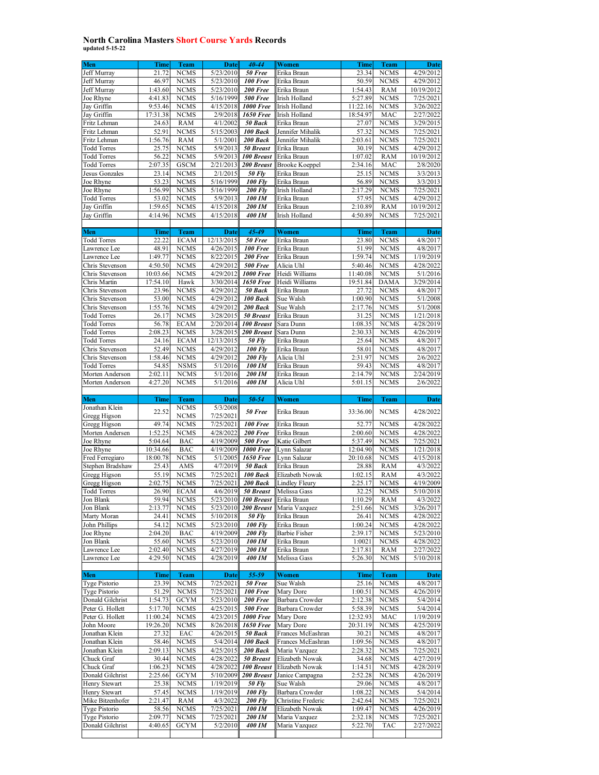| Men                  | Time        | <b>Team</b>              | <b>Date</b> | $40 - 44$            | Women                  | Time     | <b>Team</b>              | <b>Date</b>                                                  |
|----------------------|-------------|--------------------------|-------------|----------------------|------------------------|----------|--------------------------|--------------------------------------------------------------|
| Jeff Murray          | 21.72       | <b>NCMS</b>              | 5/23/2010   | 50 Free              | Erika Braun            | 23.34    | <b>NCMS</b>              | 4/29/2012                                                    |
|                      |             |                          |             |                      |                        |          |                          |                                                              |
| Jeff Murray          | 46.97       | <b>NCMS</b>              | 5/23/2010   | 100 Free             | Erika Braun            | 50.59    | <b>NCMS</b>              | 4/29/2012                                                    |
| Jeff Murray          | 1:43.60     | <b>NCMS</b>              | 5/23/2010   | 200 Free             | Erika Braun            | 1:54.43  | <b>RAM</b>               | 10/19/2012                                                   |
| Joe Rhyne            | 4:41.83     | <b>NCMS</b>              | 5/16/1999   | <b>500 Free</b>      | <b>Irish Holland</b>   | 5:27.89  | <b>NCMS</b>              | 7/25/2021                                                    |
| Jay Griffin          | 9:53.46     | <b>NCMS</b>              | 4/15/2018   | <b>1000 Free</b>     | Irish Holland          | 11:22.16 | <b>NCMS</b>              | 3/26/2022                                                    |
|                      |             |                          |             | <b>1650 Free</b>     |                        |          |                          | 2/27/2022                                                    |
| Jay Griffin          | 17:31.38    | <b>NCMS</b>              | 2/9/2018    |                      | Irish Holland          | 18:54.97 | MAC                      |                                                              |
| Fritz Lehman         | 24.63       | <b>RAM</b>               | 4/1/2002    | 50 Back              | Erika Braun            | 27.07    | <b>NCMS</b>              | 3/29/2015                                                    |
| Fritz Lehman         | 52.91       | <b>NCMS</b>              | 5/15/2003   | 100 Back             | Jennifer Mihalik       | 57.32    | <b>NCMS</b>              | 7/25/2021                                                    |
| Fritz Lehman         | 1:56.76     | <b>RAM</b>               | 5/1/2001    | 200 Back             | Jennifer Mihalik       | 2:03.61  | <b>NCMS</b>              | 7/25/2021                                                    |
| <b>Todd Torres</b>   | 25.75       | <b>NCMS</b>              | 5/9/2013    |                      | Erika Braun            | 30.19    | <b>NCMS</b>              | 4/29/2012                                                    |
|                      |             |                          |             | 50 Breast            |                        |          |                          |                                                              |
| <b>Todd Torres</b>   | 56.22       | <b>NCMS</b>              | 5/9/2013    | 100 Breast           | Erika Braun            | 1:07.02  | <b>RAM</b>               | 10/19/2012                                                   |
| <b>Todd Torres</b>   | 2:07.35     | <b>GSCM</b>              | 2/21/2013   | 200 Breast           | <b>Brooke Koeppel</b>  | 2:34.16  | MAC                      | 2/8/2020                                                     |
| Jesus Gonzales       | 23.14       | <b>NCMS</b>              | 2/1/2015    | <b>50 Fly</b>        | Erika Braun            | 25.15    | <b>NCMS</b>              | 3/3/2013                                                     |
|                      | 53.23       | <b>NCMS</b>              | 5/16/1999   |                      | Erika Braun            | 56.89    | <b>NCMS</b>              |                                                              |
| Joe Rhyne            |             |                          |             | <b>100 Fly</b>       |                        |          |                          | 3/3/2013                                                     |
| Joe Rhyne            | 1:56.99     | <b>NCMS</b>              | 5/16/1999   | <b>200 Fly</b>       | Irish Holland          | 2:17.29  | <b>NCMS</b>              | 7/25/2021                                                    |
| <b>Todd Torres</b>   | 53.02       | <b>NCMS</b>              | 5/9/2013    | 100 IM               | Erika Braun            | 57.95    | <b>NCMS</b>              | 4/29/2012                                                    |
| Jay Griffin          | 1:59.65     | <b>NCMS</b>              | 4/15/2018   | 200 IM               | Erika Braun            | 2:10.89  | <b>RAM</b>               | 10/19/2012                                                   |
|                      |             |                          |             |                      | Irish Holland          |          |                          |                                                              |
| Jay Griffin          | 4:14.96     | <b>NCMS</b>              | 4/15/2018   | 400 IM               |                        | 4:50.89  | <b>NCMS</b>              | 7/25/2021                                                    |
|                      |             |                          |             |                      |                        |          |                          |                                                              |
| Men                  | <b>Time</b> | <b>Team</b>              | <b>Date</b> | 45-49                | <b>Women</b>           | Time     | <b>Team</b>              | <b>Date</b>                                                  |
| <b>Todd Torres</b>   | 22.22       | <b>ECAM</b>              | 12/13/2015  | 50 Free              | Erika Braun            | 23.80    | $\overline{\text{NCMS}}$ | 4/8/2017                                                     |
|                      |             |                          |             |                      |                        |          |                          |                                                              |
| Lawrence Lee         | 48.91       | <b>NCMS</b>              | 4/26/2015   | 100 Free             | Erika Braun            | 51.99    | <b>NCMS</b>              | 4/8/2017                                                     |
| Lawrence Lee         | 1:49.77     | <b>NCMS</b>              | 8/22/2015   | 200 Free             | Erika Braun            | 1:59.74  | <b>NCMS</b>              | 1/19/2019                                                    |
| Chris Stevenson      | 4:50.50     | <b>NCMS</b>              | 4/29/2012   | <b>500 Free</b>      | Alicia Uhl             | 5:40.46  | <b>NCMS</b>              | 4/28/2022                                                    |
| Chris Stevenson      | 10:03.66    | <b>NCMS</b>              | 4/29/2012   | <b>1000 Free</b>     | Heidi Williams         | 11:40.08 | <b>NCMS</b>              | 5/1/2016                                                     |
|                      | 17:54.10    |                          |             |                      |                        |          |                          | 3/29/2014                                                    |
| Chris Martin         |             | Hawk                     | 3/30/2014   | <b>1650 Free</b>     | Heidi Williams         | 19:51.84 | DAMA                     |                                                              |
| Chris Stevenson      | 23.96       | <b>NCMS</b>              | 4/29/2012   | 50 Back              | Erika Braun            | 27.72    | <b>NCMS</b>              | 4/8/2017                                                     |
| Chris Stevenson      | 53.00       | <b>NCMS</b>              | 4/29/2012   | 100 Back             | Sue Walsh              | 1:00.90  | <b>NCMS</b>              | 5/1/2008                                                     |
| Chris Stevenson      | 1:55.76     | <b>NCMS</b>              | 4/29/2012   | 200 Back             | Sue Walsh              | 2:17.76  | <b>NCMS</b>              | 5/1/2008                                                     |
|                      |             |                          |             |                      |                        |          |                          |                                                              |
| <b>Todd Torres</b>   | 26.17       | <b>NCMS</b>              | 3/28/2015   | 50 Breast            | Erika Braun            | 31.25    | <b>NCMS</b>              | 1/21/2018                                                    |
| <b>Todd Torres</b>   | 56.78       | <b>ECAM</b>              | 2/20/2014   | 100 Breast           | Sara Dunn              | 1:08.35  | <b>NCMS</b>              | 4/28/2019                                                    |
| <b>Todd Torres</b>   | 2:08.23     | <b>NCMS</b>              | 3/28/2015   | 200 Breast           | Sara Dunn              | 2:30.33  | <b>NCMS</b>              | 4/26/2019                                                    |
| <b>Todd Torres</b>   | 24.16       | <b>ECAM</b>              | 12/13/2015  | <b>50 Fly</b>        | Erika Braun            | 25.64    | <b>NCMS</b>              | 4/8/2017                                                     |
|                      |             |                          |             |                      |                        |          |                          |                                                              |
| Chris Stevenson      | 52.49       | <b>NCMS</b>              | 4/29/2012   | <b>100 Fly</b>       | Erika Braun            | 58.01    | <b>NCMS</b>              | 4/8/2017                                                     |
| Chris Stevenson      | 1:58.46     | <b>NCMS</b>              | 4/29/2012   | <b>200 Fly</b>       | Alicia Uhl             | 2:31.97  | <b>NCMS</b>              | 2/6/2022                                                     |
| <b>Todd Torres</b>   | 54.85       | <b>NSMS</b>              | 5/1/2016    | 100 IM               | Erika Braun            | 59.43    | <b>NCMS</b>              | 4/8/2017                                                     |
| Morten Anderson      | 2:02.11     | <b>NCMS</b>              | 5/1/2016    | 200 IM               | Erika Braun            | 2:14.79  | <b>NCMS</b>              | 2/24/2019                                                    |
|                      |             |                          |             |                      |                        |          |                          |                                                              |
| Morten Anderson      | 4:27.20     | <b>NCMS</b>              | 5/1/2016    | 400 IM               | Alicia Uhl             | 5:01.15  | <b>NCMS</b>              | 2/6/2022                                                     |
|                      |             |                          |             |                      |                        |          |                          |                                                              |
| Men                  | Time        | <b>Team</b>              | <b>Date</b> | 50-54                | <b>Women</b>           | Time     | <b>Team</b>              | <b>Date</b>                                                  |
| Jonathan Klein       |             | <b>NCMS</b>              | 5/3/2008    |                      |                        |          |                          |                                                              |
|                      | 22.52       |                          |             | 50 Free              | Erika Braun            | 33:36.00 | <b>NCMS</b>              | 4/28/2022                                                    |
| Gregg Higson         |             | <b>NCMS</b>              | 7/25/2021   |                      |                        |          |                          |                                                              |
| Gregg Higson         | 49.74       | <b>NCMS</b>              | 7/25/2021   | 100 Free             | Erika Braun            | 52.77    | <b>NCMS</b>              | 4/28/2022                                                    |
| Morten Andersen      | 1:52.25     | <b>NCMS</b>              | 4/28/2022   | 200 Free             | Erika Braun            | 2:00.60  | <b>NCMS</b>              | 4/28/2022                                                    |
| Joe Rhyne            | 5:04.64     | <b>BAC</b>               | 4/19/2009   | <b>500 Free</b>      | Katie Gilbert          | 5:37.49  | <b>NCMS</b>              | 7/25/2021                                                    |
|                      |             |                          |             |                      |                        |          |                          |                                                              |
| Joe Rhyne            | 10:34.66    | <b>BAC</b>               | 4/19/2009   | <b>1000 Free</b>     | Lynn Salazar           | 12:04.90 | <b>NCMS</b>              | 1/21/2018                                                    |
| Fred Ferregiaro      | 18:00.78    | <b>NCMS</b>              | 5/1/2005    | <b>1650 Free</b>     | Lynn Salazar           | 20:10.68 | <b>NCMS</b>              | 4/15/2018                                                    |
| Stephen Bradshaw     | 25.43       | AMS                      | 4/7/2019    | 50 Back              | Erika Braun            | 28.88    | <b>RAM</b>               | 4/3/2022                                                     |
| Gregg Higson         | 55.19       | $\overline{\text{NCMS}}$ | 7/25/2021   | 100 Back             | Elizabeth Nowak        | 1:02.15  | <b>RAM</b>               | 4/3/2022                                                     |
|                      |             |                          |             |                      |                        |          |                          |                                                              |
| Gregg Higson         | 2:02.75     | <b>NCMS</b>              | 7/25/2021   | 200 Back             | <b>Lindley Fleury</b>  | 2:25.17  | <b>NCMS</b>              | 4/19/2009                                                    |
| <b>Todd Torres</b>   | 26.90       | <b>ECAM</b>              | 4/6/2019    | 50 Breast            | Melissa Gass           | 32.25    | <b>NCMS</b>              | 5/10/2018                                                    |
| Jon Blank            | 59 94       | <b>NCMS</b>              | 5/23/2010   |                      | 100 Breast Erika Braun | 1:10.29  | <b>RAM</b>               | 4/3/2022                                                     |
|                      |             | <b>NCMS</b>              |             |                      |                        |          | <b>NCMS</b>              |                                                              |
| Jon Blank            | 2:13.77     |                          |             | 5/23/2010 200 Breast | Maria Vazquez          | 2:51.66  |                          | 3/26/2017                                                    |
| Marty Moran          | 24.41       | <b>NCMS</b>              | 5/10/2018   | <b>50 Flv</b>        | Erika Braun            | 26.41    | <b>NCMS</b>              | 4/28/2022                                                    |
| John Phillips        | 54.12       | <b>NCMS</b>              | 5/23/2010   | <b>100 Fly</b>       | Erika Braun            | 1:00.24  | <b>NCMS</b>              | 4/28/2022                                                    |
| Joe Rhyne            | 2:04.20     | <b>BAC</b>               | 4/19/2009   | <b>200 Fly</b>       | Barbie Fisher          | 2:39.17  | <b>NCMS</b>              | 5/23/2010                                                    |
| Jon Blank            | 55.60       | <b>NCMS</b>              | 5/23/2010   | 100 IM               | Erika Braun            | 1:0021   | <b>NCMS</b>              | 4/28/2022                                                    |
|                      |             |                          |             |                      |                        |          |                          |                                                              |
| Lawrence Lee         | 2:02.40     | <b>NCMS</b>              | 4/27/2019   | 200 IM               | Erika Braun            | 2:17.81  | <b>RAM</b>               | 2/27/2022                                                    |
| Lawrence Lee         | 4:29.50     | <b>NCMS</b>              | 4/28/2019   | 400 IM               | Melissa Gass           | 5:26.30  | <b>NCMS</b>              | 5/10/2018                                                    |
|                      |             |                          |             |                      |                        |          |                          |                                                              |
| Men                  | <b>Time</b> | <b>Team</b>              | <b>Date</b> | 55-59                | <b>Women</b>           | Time     | <b>Team</b>              | <b>Date</b>                                                  |
|                      |             |                          |             |                      |                        |          |                          |                                                              |
| Tyge Pistorio        | 23.39       | <b>NCMS</b>              | 7/25/2021   | 50 Free              | Sue Walsh              | 25.16    | <b>NCMS</b>              | 4/8/2017                                                     |
| Tyge Pistorio        | 51.29       | <b>NCMS</b>              | 7/25/2021   | 100 Free             | Mary Dore              | 1:00.51  | <b>NCMS</b>              | 4/26/2019                                                    |
| Donald Gilchrist     | 1:54.73     | <b>GCYM</b>              | 5/23/2010   | 200 Free             | Barbara Crowder        | 2:12.38  | <b>NCMS</b>              | 5/4/2014                                                     |
| Peter G. Hollett     | 5:17.70     | <b>NCMS</b>              | 4/25/2015   | <b>500 Free</b>      | Barbara Crowder        | 5:58.39  | <b>NCMS</b>              | 5/4/2014                                                     |
|                      |             |                          |             |                      |                        |          |                          |                                                              |
| Peter G. Hollett     | 11:00.24    | <b>NCMS</b>              | 4/23/2015   | <b>1000 Free</b>     | Mary Dore              | 12:32.93 | MAC                      | 1/19/2019                                                    |
| John Moore           | 19:26.20    | <b>NCMS</b>              | 8/26/2018   | <b>1650 Free</b>     | Mary Dore              | 20:31.19 | <b>NCMS</b>              | 4/25/2019                                                    |
| Jonathan Klein       | 27.32       | EAC                      | 4/26/2015   | 50 Back              | Frances McEashran      | 30.21    | <b>NCMS</b>              | 4/8/2017                                                     |
|                      |             |                          | 5/4/2014    |                      |                        |          |                          |                                                              |
|                      |             |                          |             | 100 Back             | Frances McEashran      | 1:09.56  | NCMS                     | 4/8/2017                                                     |
| Jonathan Klein       | 58.46       | <b>NCMS</b>              |             |                      |                        |          |                          |                                                              |
| Jonathan Klein       | 2:09.13     | <b>NCMS</b>              | 4/25/2015   | 200 Back             | Maria Vazquez          | 2:28.32  | <b>NCMS</b>              |                                                              |
| Chuck Graf           | 30.44       | <b>NCMS</b>              | 4/28/2022   | 50 Breast            | Elizabeth Nowak        | 34.68    | <b>NCMS</b>              |                                                              |
|                      |             |                          |             |                      |                        |          |                          |                                                              |
| Chuck Graf           | 1:06.23     | <b>NCMS</b>              | 4/28/2022   | 100 Breast           | Elizabeth Nowak        | 1:14.51  | <b>NCMS</b>              |                                                              |
| Donald Gilchrist     | 2:25.66     | <b>GCYM</b>              | 5/10/2009   | 200 Breast           | Janice Campagna        | 2:52.28  | <b>NCMS</b>              |                                                              |
| <b>Henry Stewart</b> | 25.38       | <b>NCMS</b>              | 1/19/2019   | <b>50 Fly</b>        | Sue Walsh              | 29.06    | <b>NCMS</b>              | 7/25/2021<br>4/27/2019<br>4/28/2019<br>4/26/2019<br>4/8/2017 |
| Henry Stewart        | 57.45       | <b>NCMS</b>              | 1/19/2019   | <b>100 Fly</b>       | Barbara Crowder        | 1:08.22  | <b>NCMS</b>              | 5/4/2014                                                     |
|                      |             |                          |             |                      |                        |          |                          |                                                              |
| Mike Bitzenhofer     | 2:21.47     | RAM                      | 4/3/2022    | <b>200 Fly</b>       | Christine Frederic     | 2:42.64  | <b>NCMS</b>              | 7/25/2021                                                    |
| Tyge Pistorio        | 58.56       | <b>NCMS</b>              | 7/25/2021   | 100 IM               | Elizabeth Nowak        | 1:09.47  | <b>NCMS</b>              | 4/26/2019                                                    |
| Tyge Pistorio        | 2:09.77     | <b>NCMS</b>              | 7/25/2021   | 200 IM               | Maria Vazquez          | 2:32.18  | <b>NCMS</b>              | 7/25/2021                                                    |
| Donald Gilchrist     | 4:40.65     | <b>GCYM</b>              | 5/2/2010    | 400 IM               | Maria Vazquez          | 5:22.70  | TAC                      | 2/27/2022                                                    |
|                      |             |                          |             |                      |                        |          |                          |                                                              |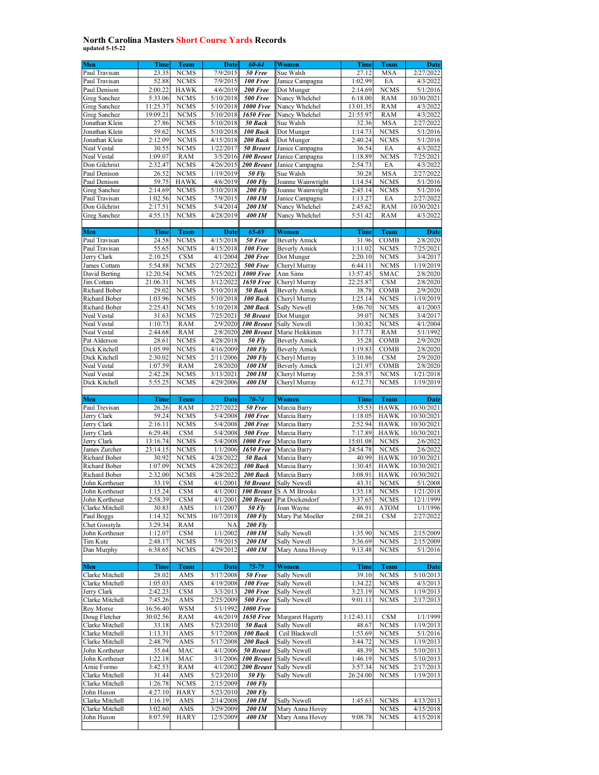| Men                    | <b>Time</b>        | <b>Team</b>         | <b>Date</b>            | $60 - 64$         | <b>Women</b>         | Time       | <b>Team</b>         | <b>Date</b>                                                                                                                                                                                                                                                                                                                                                                                                                                                |
|------------------------|--------------------|---------------------|------------------------|-------------------|----------------------|------------|---------------------|------------------------------------------------------------------------------------------------------------------------------------------------------------------------------------------------------------------------------------------------------------------------------------------------------------------------------------------------------------------------------------------------------------------------------------------------------------|
| Paul Travisan          | 23.35              | <b>NCMS</b>         | 7/9/2015               | 50 Free           | Sue Walsh            | 27.12      | <b>MSA</b>          | 2/27/2022                                                                                                                                                                                                                                                                                                                                                                                                                                                  |
| Paul Travisan          | 52.88              | <b>NCMS</b>         | 7/9/2015               | 100 Free          | Janice Campagna      | 1:02.99    | EA                  | 4/3/2022                                                                                                                                                                                                                                                                                                                                                                                                                                                   |
| Paul Denison           | 2:00.22            | <b>HAWK</b>         | 4/6/2019               | 200 Free          | Dot Munger           | 2:14.69    | <b>NCMS</b>         | 5/1/2016                                                                                                                                                                                                                                                                                                                                                                                                                                                   |
| Greg Sanchez           | 5:33.06            | <b>NCMS</b>         | 5/10/2018              | <b>500 Free</b>   | Nancy Whelchel       | 6:18.00    | <b>RAM</b>          | 10/30/2021                                                                                                                                                                                                                                                                                                                                                                                                                                                 |
| Greg Sanchez           | 11:25.37           | <b>NCMS</b>         | 5/10/2018              | <b>1000 Free</b>  | Nancy Whelchel       | 13:01.35   | <b>RAM</b>          | 4/3/2022                                                                                                                                                                                                                                                                                                                                                                                                                                                   |
|                        |                    |                     |                        |                   |                      |            |                     |                                                                                                                                                                                                                                                                                                                                                                                                                                                            |
| Greg Sanchez           | 19:09.21           | <b>NCMS</b>         | 5/10/2018              | <b>1650 Free</b>  | Nancy Whelchel       | 21:55.97   | <b>RAM</b>          | 4/3/2022                                                                                                                                                                                                                                                                                                                                                                                                                                                   |
| Jonathan Klein         | 27.86              | <b>NCMS</b>         | 5/10/2018              | 50 Back           | Sue Walsh            | 32.36      | <b>MSA</b>          | 2/27/2022                                                                                                                                                                                                                                                                                                                                                                                                                                                  |
| Jonathan Klein         | 59.62              | <b>NCMS</b>         | 5/10/2018              | 100 Back          | Dot Munger           | 1:14.73    | <b>NCMS</b>         | 5/1/2016                                                                                                                                                                                                                                                                                                                                                                                                                                                   |
| Jonathan Klein         | 2:12.09            | <b>NCMS</b>         | 4/15/2018              | 200 Back          | Dot Munger           | 2:40.24    | <b>NCMS</b>         | 5/1/2016                                                                                                                                                                                                                                                                                                                                                                                                                                                   |
| Neal Vestal            | 30.55              | NCMS                | 1/22/2017              | 50 Breast         | Janice Campagna      | 36.54      | EA                  | 4/3/2022                                                                                                                                                                                                                                                                                                                                                                                                                                                   |
| Neal Vestal            | 1:09.07            | <b>RAM</b>          | 3/5/2016               | 100 Breast        | Janice Campagna      | 1:18.89    | <b>NCMS</b>         | 7/25/2021                                                                                                                                                                                                                                                                                                                                                                                                                                                  |
| Don Gilchrist          | 2:32.47            | <b>NCMS</b>         | 4/26/2015              | 200 Breast        | Janice Campagna      | 2:54.73    | EA                  | 4/3/2022                                                                                                                                                                                                                                                                                                                                                                                                                                                   |
| Paul Denison           | 26.52              | <b>NCMS</b>         | 1/19/2019              | <b>50 Fly</b>     | Sue Walsh            | 30.28      | <b>MSA</b>          | 2/27/2022                                                                                                                                                                                                                                                                                                                                                                                                                                                  |
| Paul Denison           | 59.75              | <b>HAWK</b>         | 4/6/2019               | <b>100 Fly</b>    | Joanne Wainwright    | 1:14.54    | <b>NCMS</b>         | 5/1/2016                                                                                                                                                                                                                                                                                                                                                                                                                                                   |
| Greg Sanchez           | 2:14.69            | <b>NCMS</b>         | 5/10/2018              | <b>200 Fly</b>    | Joanne Wainwright    | 2:45.14    | <b>NCMS</b>         | 5/1/2016                                                                                                                                                                                                                                                                                                                                                                                                                                                   |
| Paul Travisan          | 1:02.56            | <b>NCMS</b>         | 7/9/2015               | 100 IM            | Janice Campagna      | 1:13.27    | EA                  | 2/27/2022                                                                                                                                                                                                                                                                                                                                                                                                                                                  |
| Don Gilchrist          | 2:17.51            | <b>NCMS</b>         | 5/4/2014               | 200 IM            | Nancy Whelchel       | 2:45.62    | RAM                 | 10/30/2021                                                                                                                                                                                                                                                                                                                                                                                                                                                 |
| Greg Sanchez           | 4:55.15            | <b>NCMS</b>         | 4/28/2019              | 400 IM            | Nancy Whelchel       | 5:51.42    | <b>RAM</b>          | 4/3/2022                                                                                                                                                                                                                                                                                                                                                                                                                                                   |
|                        |                    |                     |                        |                   |                      |            |                     |                                                                                                                                                                                                                                                                                                                                                                                                                                                            |
| Men                    | Time               | <b>Team</b>         | <b>Date</b>            | 65-69             | <b>Women</b>         | Time       | <b>Team</b>         | <b>Date</b>                                                                                                                                                                                                                                                                                                                                                                                                                                                |
| Paul Travisan          | 24.58              | NCMS                | 4/15/2018              | 50 Free           | Beverly Amick        | 31.96      | COMB                | 2/8/2020                                                                                                                                                                                                                                                                                                                                                                                                                                                   |
| Paul Travisan          | 55.65              | <b>NCMS</b>         | 4/15/2018              | 100 Free          | <b>Beverly Amick</b> | 1:11.02    | <b>NCMS</b>         | 7/25/2021                                                                                                                                                                                                                                                                                                                                                                                                                                                  |
| Jerry Clark            | 2:10.25            | <b>CSM</b>          | 4/1/2004               | 200 Free          | Dot Munger           | 2:20.10    | <b>NCMS</b>         | 3/4/2017                                                                                                                                                                                                                                                                                                                                                                                                                                                   |
|                        |                    |                     |                        |                   |                      |            |                     |                                                                                                                                                                                                                                                                                                                                                                                                                                                            |
| James Cottam           | 5:54.88            | <b>NCMS</b>         | 2/27/2022              | <b>500 Free</b>   | Cheryl Murray        | 6:44.11    | <b>NCMS</b>         | 1/19/2019                                                                                                                                                                                                                                                                                                                                                                                                                                                  |
| David Berting          | 12:20.54           | <b>NCMS</b>         | 7/25/2021              | <b>1000 Free</b>  | Ann Sims             | 13:57.45   | <b>SMAC</b>         | 2/8/2020                                                                                                                                                                                                                                                                                                                                                                                                                                                   |
| Jim Cottam             | 21:06.31           | <b>NCMS</b>         | 3/12/2022              | <b>1650 Free</b>  | Cheryl Murray        | 22:25.87   | <b>CSM</b>          | 2/8/2020                                                                                                                                                                                                                                                                                                                                                                                                                                                   |
| Richard Bober          | 29.02              | <b>NCMS</b>         | 5/10/2018              | 50 Back           | Beverly Amick        | 38.78      | COMB                | 2/9/2020                                                                                                                                                                                                                                                                                                                                                                                                                                                   |
| Richard Bober          | 1:03.96            | <b>NCMS</b>         | 5/10/2018              | 100 Back          | Cheryl Murray        | 1:25.14    | <b>NCMS</b>         | 1/19/2019                                                                                                                                                                                                                                                                                                                                                                                                                                                  |
| Richard Bober          | 2:25.43            | <b>NCMS</b>         | 5/10/2018              | 200 Back          | <b>Sally Newell</b>  | 3:06.70    | <b>NCMS</b>         | 4/1/2003                                                                                                                                                                                                                                                                                                                                                                                                                                                   |
| Neal Vestal            | 31.63              | <b>NCMS</b>         | 7/25/2021              | 50 Breast         | Dot Munger           | 39.07      | <b>NCMS</b>         | 3/4/2017                                                                                                                                                                                                                                                                                                                                                                                                                                                   |
| Neal Vestal            | 1:10.73            | <b>RAM</b>          | 2/9/2020               | 100 Breast        | Sally Newell         | 1:30.82    | <b>NCMS</b>         | 4/1/2004                                                                                                                                                                                                                                                                                                                                                                                                                                                   |
| <b>Neal Vestal</b>     | 2:44.68            | <b>RAM</b>          | 2/8/2020               | 200 Breast        | Marie Heikkinen      | 3:17.73    | <b>RAM</b>          | 5/1/1992                                                                                                                                                                                                                                                                                                                                                                                                                                                   |
| Pat Alderson           | 28.61              | <b>NCMS</b>         | 4/28/2018              | <b>50 Flv</b>     | <b>Beverly Amick</b> | 35.28      | COMB                | 2/9/2020                                                                                                                                                                                                                                                                                                                                                                                                                                                   |
| Dick Kitchell          | 1:05.99            | <b>NCMS</b>         | 4/16/2009              | <b>100 Fly</b>    | <b>Beverly Amick</b> | 1:19.83    | COMB                | 2/8/2020                                                                                                                                                                                                                                                                                                                                                                                                                                                   |
| Dick Kitchell          | 2:30.02            | <b>NCMS</b>         | 2/11/2006              | <b>200 Fly</b>    | Cheryl Murray        | 3:10.86    | <b>CSM</b>          | 2/9/2020                                                                                                                                                                                                                                                                                                                                                                                                                                                   |
| Neal Vestal            | 1:07.59            | RAM                 | 2/8/2020               | 100 IM            | <b>Beverly Amick</b> | 1:21.97    | COMB                | 2/8/2020                                                                                                                                                                                                                                                                                                                                                                                                                                                   |
| Neal Vestal            | 2:42.28            | <b>NCMS</b>         | 3/13/2021              | 200 IM            | Cheryl Murray        | 2:58.57    | <b>NCMS</b>         | 1/21/2018                                                                                                                                                                                                                                                                                                                                                                                                                                                  |
| Dick Kitchell          | 5:55.25            | <b>NCMS</b>         | 4/29/2006              | 400 IM            | Cheryl Murray        | 6:12.71    | <b>NCMS</b>         | 1/19/2019                                                                                                                                                                                                                                                                                                                                                                                                                                                  |
|                        |                    |                     |                        |                   |                      |            |                     |                                                                                                                                                                                                                                                                                                                                                                                                                                                            |
|                        |                    |                     |                        |                   |                      |            |                     |                                                                                                                                                                                                                                                                                                                                                                                                                                                            |
|                        |                    |                     |                        |                   |                      |            |                     |                                                                                                                                                                                                                                                                                                                                                                                                                                                            |
| Men                    | Time               | <b>Team</b>         | <b>Date</b>            | $70 - 74$         | <b>Women</b>         | Time       | <b>Team</b>         |                                                                                                                                                                                                                                                                                                                                                                                                                                                            |
| Paul Trevisan          | 26.26              | RAM                 | 2/27/2022              | 50 Free           | Marcia Barry         | 35.53      | HAWK                |                                                                                                                                                                                                                                                                                                                                                                                                                                                            |
| Jerry Clark            | 59.24              | <b>NCMS</b>         | 5/4/2008               | 100 Free          | Marcia Barry         | 1:18.05    | <b>HAWK</b>         |                                                                                                                                                                                                                                                                                                                                                                                                                                                            |
| Jerry Clark            | 2:16.11            | <b>NCMS</b>         | 5/4/2008               | 200 Free          | Marcia Barry         | 2:52.94    | <b>HAWK</b>         |                                                                                                                                                                                                                                                                                                                                                                                                                                                            |
| Jerry Clark            | 6:29.48            | <b>CSM</b>          | 5/4/2008               | <b>500 Free</b>   | Marcia Barry         | 7:17.89    | <b>HAWK</b>         |                                                                                                                                                                                                                                                                                                                                                                                                                                                            |
| Jerry Clark            | 13:16.74           | <b>NCMS</b>         | 5/4/2008               | <b>1000 Free</b>  | Marcia Barry         | 15:01.08   | <b>NCMS</b>         |                                                                                                                                                                                                                                                                                                                                                                                                                                                            |
| James Zurcher          | 23:14.15           | <b>NCMS</b>         | 1/1/2006               | <b>1650 Free</b>  | Marcia Barry         | 24:54.78   | <b>NCMS</b>         |                                                                                                                                                                                                                                                                                                                                                                                                                                                            |
| Richard Bober          | 30.92              | <b>NCMS</b>         | 4/28/2022              | 50 Back           | Marcia Barry         | 40.99      | <b>HAWK</b>         |                                                                                                                                                                                                                                                                                                                                                                                                                                                            |
| Richard Bober          | 1:07.09            | <b>NCMS</b>         | 4/28/2022              | 100 Back          | Marcia Barry         | 1:30.45    | HAWK                |                                                                                                                                                                                                                                                                                                                                                                                                                                                            |
| Richard Bober          | 2:32.00            | <b>NCMS</b>         | 4/28/2022              | 200 Back          | Marcia Barry         | 3:08.91    | <b>HAWK</b>         |                                                                                                                                                                                                                                                                                                                                                                                                                                                            |
| John Kortheuer         | 33.19              | <b>CSM</b>          | 4/1/2001               | 50 Breast         | Sally Newell         | 43.31      | <b>NCMS</b>         |                                                                                                                                                                                                                                                                                                                                                                                                                                                            |
| John Kortheuer         | 1:15.24            | <b>CSM</b>          | 4/1/2001               | <b>100 Breast</b> | <b>SAM</b> Brooks    | 1:35.18    | <b>NCMS</b>         |                                                                                                                                                                                                                                                                                                                                                                                                                                                            |
| John Kortheuer         | 2:58.39            | $\mathbf{CSM}$      | 4/1/2001               | 200 Breast        | Pat Dockendorf       | 3:37.65    | <b>NCMS</b>         |                                                                                                                                                                                                                                                                                                                                                                                                                                                            |
| Clarke Mitchell        | 30.83              | AMS                 | 1/1/2007               | <b>50 Fly</b>     | Joan Wayne           | 46.91      | <b>ATOM</b>         |                                                                                                                                                                                                                                                                                                                                                                                                                                                            |
| Paul Boggs             | 1:14.32            | <b>NCMS</b>         | 10/7/2018              | <b>100 Flv</b>    | Mary Pat Moeller     | 2:08.21    | <b>CSM</b>          |                                                                                                                                                                                                                                                                                                                                                                                                                                                            |
| Chet Gosstyla          | 3:29.34            | RAM                 | NA                     | <b>200 Fly</b>    |                      |            |                     |                                                                                                                                                                                                                                                                                                                                                                                                                                                            |
| John Kortheuer         | 1:12.07            | CSM                 | 1/1/2002               | 100 IM            | <b>Sally Newell</b>  | 1:35.90    | <b>NCMS</b>         | 5/1/2008<br>1/21/2018                                                                                                                                                                                                                                                                                                                                                                                                                                      |
|                        |                    |                     |                        |                   |                      |            |                     |                                                                                                                                                                                                                                                                                                                                                                                                                                                            |
| Tim Kute<br>Dan Murphy | 2:48.17<br>6:38.65 | NCMS<br><b>NCMS</b> | 7/9/2015               | 200 IM<br>400 IM  | Sally Newell         | 3:36.69    | NCMS<br><b>NCMS</b> |                                                                                                                                                                                                                                                                                                                                                                                                                                                            |
|                        |                    |                     | 4/29/2012              |                   | Mary Anna Hovey      | 9:13.48    |                     |                                                                                                                                                                                                                                                                                                                                                                                                                                                            |
|                        |                    |                     |                        |                   |                      |            |                     |                                                                                                                                                                                                                                                                                                                                                                                                                                                            |
| Men                    | Time               | Team                | <b>Date</b>            | $75 - 79$         | <b>Women</b>         | Time       | <b>Team</b>         |                                                                                                                                                                                                                                                                                                                                                                                                                                                            |
| Clarke Mitchell        | 28.02              | AMS                 | $\frac{1}{5}$ /17/2008 | 50 Free           | <b>Sally Newell</b>  | 39.10      | <b>NCMS</b>         |                                                                                                                                                                                                                                                                                                                                                                                                                                                            |
| Clarke Mitchell        | 1:05.03            | AMS                 | 4/19/2008              | 100 Free          | Sally Newell         | 1:34.22    | <b>NCMS</b>         |                                                                                                                                                                                                                                                                                                                                                                                                                                                            |
| Jerry Clark            | 2:42.23            | CSM                 | 3/3/2013               | 200 Free          | <b>Sally Newell</b>  | 3:23.19    | <b>NCMS</b>         |                                                                                                                                                                                                                                                                                                                                                                                                                                                            |
| Clarke Mitchell        | 7:45.26            | AMS                 | 2/25/2009              | <b>500 Free</b>   | Sally Newell         | 9:01.11    | <b>NCMS</b>         |                                                                                                                                                                                                                                                                                                                                                                                                                                                            |
| Roy Morse              | 16:56.40           | <b>WSM</b>          | 5/1/1992               | <b>1000 Free</b>  |                      |            |                     |                                                                                                                                                                                                                                                                                                                                                                                                                                                            |
| Doug Fletcher          | 30:02.56           | RAM                 | 4/6/2019               | <b>1650 Free</b>  | Margaret Hagerty     | 1:12:43.11 | CSM                 |                                                                                                                                                                                                                                                                                                                                                                                                                                                            |
| Clarke Mitchell        | 33.18              | AMS                 | 5/23/2010              | 50 Back           | Sally Newell         | 48.67      | <b>NCMS</b>         |                                                                                                                                                                                                                                                                                                                                                                                                                                                            |
| Clarke Mitchell        | 1:13.31            | AMS                 | 5/17/2008              | 100 Back          | Ceil Blackwell       | 1:53.69    | NCMS                |                                                                                                                                                                                                                                                                                                                                                                                                                                                            |
| Clarke Mitchell        | 2:48.79            | AMS                 | 5/17/2008              | 200 Back          | <b>Sally Newell</b>  | 3:44.72    | <b>NCMS</b>         |                                                                                                                                                                                                                                                                                                                                                                                                                                                            |
| John Kortheuer         | 35.64              | MAC                 | 4/1/2006               | 50 Breast         | <b>Sally Newell</b>  | 48.39      | <b>NCMS</b>         |                                                                                                                                                                                                                                                                                                                                                                                                                                                            |
| John Kortheuer         | 1:22.18            | $\rm MAC$           | 3/1/2006               | 100 Breast        | Sally Newell         | 1:46.19    | <b>NCMS</b>         |                                                                                                                                                                                                                                                                                                                                                                                                                                                            |
| Arnie Formo            | 3:42.53            | RAM                 | 4/1/2002               | 200 Breast        | Sally Newell         | 3:57.34    | <b>NCMS</b>         |                                                                                                                                                                                                                                                                                                                                                                                                                                                            |
| Clarke Mitchell        | 31.44              | AMS                 | 5/23/2010              | <b>50 Fly</b>     | <b>Sally Newell</b>  | 26:24.00   | <b>NCMS</b>         |                                                                                                                                                                                                                                                                                                                                                                                                                                                            |
| Clarke Mitchell        | 1:26.78            | NCMS                | 2/15/2009              | <b>100 Fly</b>    |                      |            |                     |                                                                                                                                                                                                                                                                                                                                                                                                                                                            |
| John Huson             | 4:27.10            | HARY                | 5/23/2010              | <b>200 Fly</b>    |                      |            |                     |                                                                                                                                                                                                                                                                                                                                                                                                                                                            |
| Clarke Mitchell        | 1:16.19            | AMS                 | 2/14/2008              | 100 IM            | Sally Newell         | 1:45.63    | <b>NCMS</b>         |                                                                                                                                                                                                                                                                                                                                                                                                                                                            |
| Clarke Mitchell        | 3:02.60            | AMS                 | 3/29/2009              | 200 IM            | Mary Anna Hovey      |            | NCMS                |                                                                                                                                                                                                                                                                                                                                                                                                                                                            |
| John Huson             | 8:07.59            | HARY                | 12/5/2009              | 400 IM            | Mary Anna Hovey      | 9:08.78    | NCMS                | <b>Date</b><br>10/30/2021<br>10/30/2021<br>10/30/2021<br>10/30/2021<br>2/6/2022<br>2/6/2022<br>10/30/2021<br>10/30/2021<br>10/30/2021<br>12/1/1999<br>1/1/1996<br>2/27/2022<br>2/15/2009<br>$\overline{2/15/2009}$<br>5/1/2016<br><b>Date</b><br>$\overline{5/10/2013}$<br>4/3/2013<br>1/19/2013<br>2/17/2013<br>1/1/1999<br>1/19/2013<br>5/1/2016<br>1/19/2013<br>5/10/2013<br>5/10/2013<br>2/17/2013<br>1/19/2013<br>4/13/2013<br>4/15/2018<br>4/15/2018 |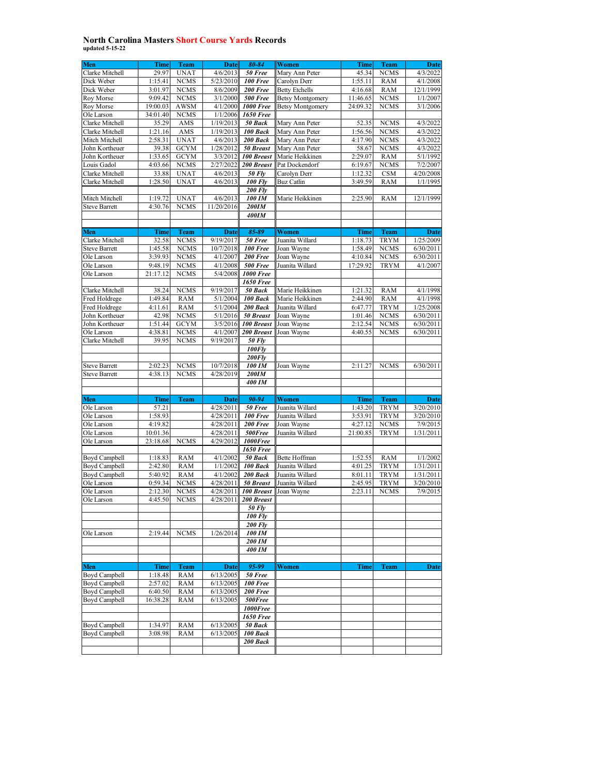| <b>Men</b>           | <b>Time</b> | <b>Team</b> | <b>Date</b> | $80 - 84$         | Women                   | Time        | <b>Team</b> | <b>Date</b> |
|----------------------|-------------|-------------|-------------|-------------------|-------------------------|-------------|-------------|-------------|
| Clarke Mitchell      | 29.97       | <b>UNAT</b> | 4/6/2013    | 50 Free           | Mary Ann Peter          | 45.34       | <b>NCMS</b> | 4/3/2022    |
| Dick Weber           | 1:15.41     | <b>NCMS</b> | 5/23/2010   | 100 Free          | Carolyn Derr            | 1:55.11     | <b>RAM</b>  | 4/1/2008    |
| Dick Weber           | 3:01.97     | <b>NCMS</b> | 8/6/2009    | 200 Free          | <b>Betty Etchells</b>   | 4:16.68     | <b>RAM</b>  | 12/1/1999   |
| Roy Morse            | 9:09.42     | <b>NCMS</b> | 3/1/2000    | <b>500 Free</b>   | <b>Betsy Montgomery</b> | 11:46.65    | <b>NCMS</b> | 1/1/2007    |
| Roy Morse            | 19:00.03    | AWSM        | 4/1/2000    | <b>1000 Free</b>  | <b>Betsy Montgomery</b> | 24:09.32    | <b>NCMS</b> | 3/1/2006    |
| Ole Larson           | 34:01.40    | <b>NCMS</b> | 1/1/2006    | <b>1650 Free</b>  |                         |             |             |             |
| Clarke Mitchell      | 35.29       | AMS         | 1/19/2013   | 50 Back           | Mary Ann Peter          | 52.35       | <b>NCMS</b> | 4/3/2022    |
| Clarke Mitchell      |             |             |             | 100 Back          |                         |             |             | 4/3/2022    |
|                      | 1:21.16     | AMS         | 1/19/2013   |                   | Mary Ann Peter          | 1:56.56     | <b>NCMS</b> |             |
| Mitch Mitchell       | 2:58.31     | <b>UNAT</b> | 4/6/2013    | 200 Back          | Mary Ann Peter          | 4:17.90     | <b>NCMS</b> | 4/3/2022    |
| John Kortheuer       | 39.38       | <b>GCYM</b> | 1/28/2012   | 50 Breast         | Mary Ann Peter          | 58.67       | <b>NCMS</b> | 4/3/2022    |
| John Kortheuer       | 1:33.65     | <b>GCYM</b> | 3/3/2012    | <b>100 Breast</b> | Marie Heikkinen         | 2:29.07     | RAM         | 5/1/1992    |
| Louis Gadol          | 4:03.66     | <b>NCMS</b> | 2/27/2022   | 200 Breast        | Pat Dockendorf          | 6:19.67     | <b>NCMS</b> | 7/2/2007    |
| Clarke Mitchell      | 33.88       | <b>UNAT</b> | 4/6/2013    | <b>50 Flv</b>     | Carolyn Derr            | 1:12.32     | <b>CSM</b>  | 4/20/2008   |
| Clarke Mitchell      | 1:28.50     | <b>UNAT</b> | 4/6/2013    | <b>100 Flv</b>    | <b>Buz Catlin</b>       | 3:49.59     | <b>RAM</b>  | 1/1/1995    |
|                      |             |             |             | <b>200 Fly</b>    |                         |             |             |             |
| Mitch Mitchell       | 1:19.72     | <b>UNAT</b> | 4/6/2013    | 100 IM            | Marie Heikkinen         | 2:25.90     | <b>RAM</b>  | 12/1/1999   |
| <b>Steve Barrett</b> | 4:30.76     | <b>NCMS</b> | 11/20/2016  | 200IM             |                         |             |             |             |
|                      |             |             |             | 400IM             |                         |             |             |             |
|                      |             |             |             |                   |                         |             |             |             |
| Men                  |             |             |             | 85-89             | Women                   |             |             | <b>Date</b> |
|                      | <b>Time</b> | <b>Team</b> | <b>Date</b> |                   |                         | Time        | <b>Team</b> |             |
| Clarke Mitchell      | 32.58       | <b>NCMS</b> | 9/19/2017   | 50 Free           | Juanita Willard         | 1:18.73     | <b>TRYM</b> | 1/25/2009   |
| <b>Steve Barrett</b> | 1:45.58     | <b>NCMS</b> | 10/7/2018   | 100 Free          | Joan Wayne              | 1:58.49     | <b>NCMS</b> | 6/30/2011   |
| Ole Larson           | 3:39.93     | <b>NCMS</b> | 4/1/2007    | 200 Free          | Joan Wayne              | 4:10.84     | <b>NCMS</b> | 6/30/2011   |
| Ole Larson           | 9:48.19     | <b>NCMS</b> | 4/1/2008    | <b>500 Free</b>   | Juanita Willard         | 17:29.92    | <b>TRYM</b> | 4/1/2007    |
| Ole Larson           | 21:17.12    | <b>NCMS</b> | 5/4/2008    | <b>1000 Free</b>  |                         |             |             |             |
|                      |             |             |             | <b>1650 Free</b>  |                         |             |             |             |
| Clarke Mitchell      | 38.24       | <b>NCMS</b> | 9/19/2017   | 50 Back           | Marie Heikkinen         | 1:21.32     | <b>RAM</b>  | 4/1/1998    |
| Fred Holdrege        | 1:49.84     | <b>RAM</b>  | 5/1/2004    | 100 Back          | Marie Heikkinen         | 2:44.90     | <b>RAM</b>  | 4/1/1998    |
| Fred Holdrege        | 4:11.61     | <b>RAM</b>  | 5/1/2004    | 200 Back          | Juanita Willard         | 6:47.77     | <b>TRYM</b> | 1/25/2008   |
| John Kortheuer       | 42.98       | <b>NCMS</b> | 5/1/2016    | 50 Breast         | Joan Wayne              | 1:01.46     | <b>NCMS</b> | 6/30/2011   |
|                      |             |             |             |                   |                         |             |             |             |
| John Kortheuer       | 1:51.44     | <b>GCYM</b> | 3/5/2016    | <b>100 Breast</b> | Joan Wayne              | 2:12.54     | <b>NCMS</b> | 6/30/2011   |
| Ole Larson           | 4:38.81     | <b>NCMS</b> | 4/1/2007    | 200 Breast        | Joan Wayne              | 4:40.55     | <b>NCMS</b> | 6/30/2011   |
| Clarke Mitchell      | 39.95       | <b>NCMS</b> | 9/19/2017   | 50 Fly            |                         |             |             |             |
|                      |             |             |             | 100F              |                         |             |             |             |
|                      |             |             |             | 200F              |                         |             |             |             |
| <b>Steve Barrett</b> | 2:02.23     | <b>NCMS</b> | 10/7/2018   | 100 IM            | Joan Wayne              | 2:11.27     | <b>NCMS</b> | 6/30/2011   |
| <b>Steve Barrett</b> | 4:38.13     | <b>NCMS</b> | 4/28/2019   | 200IM             |                         |             |             |             |
|                      |             |             |             | 400 IM            |                         |             |             |             |
|                      |             |             |             |                   |                         |             |             |             |
| Men                  | <b>Time</b> | <b>Team</b> | <b>Date</b> | 90-94             | Women                   | <b>Time</b> | <b>Team</b> | <b>Date</b> |
| Ole Larson           | 57.21       |             | 4/28/2011   | 50 Free           | Juanita Willard         | 1:43.20     | <b>TRYM</b> | 3/20/2010   |
| Ole Larson           | 1:58.93     |             | 4/28/2011   | 100 Free          | Juanita Willard         | 3:53.91     | <b>TRYM</b> | 3/20/2010   |
|                      |             |             |             |                   |                         |             |             |             |
| Ole Larson           | 4:19.82     |             | 4/28/2011   | 200 Free          | Joan Wayne              | 4:27.12     | <b>NCMS</b> | 7/9/2015    |
| Ole Larson           | 10:01.36    |             | 4/28/2011   | 500Free           | Juanita Willard         | 21:00.85    | <b>TRYM</b> | 1/31/2011   |
| Ole Larson           | 23:18.68    | <b>NCMS</b> | 4/29/2012   | 1000Free          |                         |             |             |             |
|                      |             |             |             | <b>1650 Free</b>  |                         |             |             |             |
| Boyd Campbell        | 1:18.83     | <b>RAM</b>  | 4/1/2002    | 50 Back           | Bette Hoffman           | 1:52.55     | <b>RAM</b>  | 1/1/2002    |
| <b>Boyd Campbell</b> | 2:42.80     | <b>RAM</b>  | 1/1/2002    | 100 Back          | Juanita Willard         | 4:01.25     | <b>TRYM</b> | 1/31/2011   |
| Boyd Campbell        | 5:40.92     | <b>RAM</b>  | 4/1/2002    | 200 Back          | Juanita Willard         | 8:01.11     | <b>TRYM</b> | 1/31/2011   |
| Ole Larson           | 0:59.34     | <b>NCMS</b> | 4/28/2011   | 50 Breast         | Juanita Willard         | 2:45.95     | <b>TRYM</b> | 3/20/2010   |
| Ole Larson           | 2:12.30     | <b>NCMS</b> | 4/28/2011   | 100 Breast        | Joan Wayne              | 2:23.11     | <b>NCMS</b> | 7/9/2015    |
|                      | 4:45.50     | <b>NCMS</b> | 4/28/2011   | 200 Breast        |                         |             |             |             |
| Ole Larson           |             |             |             | <b>50 Flv</b>     |                         |             |             |             |
|                      |             |             |             |                   |                         |             |             |             |
|                      |             |             |             | <b>100 Flv</b>    |                         |             |             |             |
|                      |             |             |             | <b>200 Fly</b>    |                         |             |             |             |
| Ole Larson           | 2:19.44     | <b>NCMS</b> | 1/26/2014   | 100 IM            |                         |             |             |             |
|                      |             |             |             | 200 IM            |                         |             |             |             |
|                      |             |             |             | 400 IM            |                         |             |             |             |
|                      |             |             |             |                   |                         |             |             |             |
| Men                  | Time        | <b>Team</b> | <b>Date</b> | 95-99             | Women                   | Time        | <b>Team</b> | Date        |
| Boyd Campbell        | 1:18.48     | <b>RAM</b>  | 6/13/2005   | 50 Free           |                         |             |             |             |
| Boyd Campbell        | 2:57.02     | RAM         | 6/13/2005   | 100 Free          |                         |             |             |             |
| Boyd Campbell        | 6:40.50     | RAM         | 6/13/2005   | 200 Free          |                         |             |             |             |
|                      |             |             |             |                   |                         |             |             |             |
| Boyd Campbell        | 16:38.28    | RAM         | 6/13/2005   | 500Free           |                         |             |             |             |
|                      |             |             |             | 1000Free          |                         |             |             |             |
|                      |             |             |             | <b>1650 Free</b>  |                         |             |             |             |
| Boyd Campbell        | 1:34.97     | <b>RAM</b>  | 6/13/2005   | 50 Back           |                         |             |             |             |
| Boyd Campbell        | 3:08.98     | <b>RAM</b>  | 6/13/2005   | 100 Back          |                         |             |             |             |
|                      |             |             |             | 200 Back          |                         |             |             |             |
|                      |             |             |             |                   |                         |             |             |             |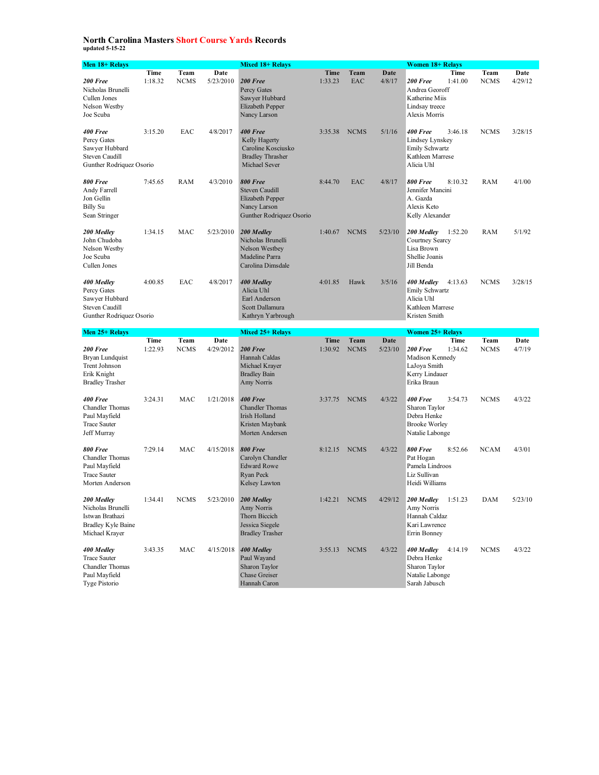| Men 18+ Relays                                                                                    |                 |                     |                   | <b>Mixed 18+ Relays</b>                                                                     |                 |                     |                 | <b>Women 18+ Relays</b>                                                                            |                     |                 |
|---------------------------------------------------------------------------------------------------|-----------------|---------------------|-------------------|---------------------------------------------------------------------------------------------|-----------------|---------------------|-----------------|----------------------------------------------------------------------------------------------------|---------------------|-----------------|
| 200 Free<br>Nicholas Brunelli<br>Cullen Jones<br>Nelson Westby<br>Joe Scuba                       | Time<br>1:18.32 | Team<br><b>NCMS</b> | Date<br>5/23/2010 | 200 Free<br>Percy Gates<br>Sawyer Hubbard<br>Elizabeth Pepper<br>Nancy Larson               | Time<br>1:33.23 | Team<br>EAC         | Date<br>4/8/17  | Time<br>1:41.00<br>200 Free<br>Andrea Georoff<br>Katherine Miis<br>Lindsay treece<br>Alexis Morris | Team<br><b>NCMS</b> | Date<br>4/29/12 |
| 400 Free<br>Percy Gates<br>Sawyer Hubbard<br>Steven Caudill<br>Gunther Rodriquez Osorio           | 3:15.20         | EAC                 | 4/8/2017          | 400 Free<br>Kelly Hagerty<br>Caroline Kosciusko<br><b>Bradley Thrasher</b><br>Michael Sever | 3:35.38         | <b>NCMS</b>         | 5/1/16          | 400 Free<br>3:46.18<br>Lindsey Lynskey<br>Emily Schwartz<br>Kathleen Marrese<br>Alicia Uhl         | <b>NCMS</b>         | 3/28/15         |
| 800 Free<br>Andy Farrell<br>Jon Gellin<br><b>Billy Su</b><br>Sean Stringer                        | 7:45.65         | RAM                 | 4/3/2010          | 800 Free<br>Steven Caudill<br>Elizabeth Pepper<br>Nancy Larson<br>Gunther Rodriquez Osorio  | 8:44.70         | EAC                 | 4/8/17          | 800 Free<br>8:10.32<br>Jennifer Mancini<br>A. Gazda<br>Alexis Keto<br>Kelly Alexander              | RAM                 | 4/1/00          |
| 200 Medley<br>John Chudoba<br>Nelson Westby<br>Joe Scuba<br>Cullen Jones                          | 1:34.15         | MAC                 | 5/23/2010         | 200 Medley<br>Nicholas Brunelli<br>Nelson Westbey<br>Madeline Parra<br>Carolina Dimsdale    | 1:40.67         | <b>NCMS</b>         | 5/23/10         | 200 Medley<br>1:52.20<br>Courtney Searcy<br>Lisa Brown<br>Shellie Joanis<br>Jill Benda             | RAM                 | 5/1/92          |
| 400 Medley<br>Percy Gates<br>Sawyer Hubbard<br>Steven Caudill<br>Gunther Rodriquez Osorio         | 4:00.85         | EAC                 | 4/8/2017          | 400 Medley<br>Alicia Uhl<br>Earl Anderson<br>Scott Dallamura<br>Kathryn Yarbrough           | 4:01.85         | Hawk                | 3/5/16          | 400 Medley<br>4:13.63<br>Emily Schwartz<br>Alicia Uhl<br>Kathleen Marrese<br>Kristen Smith         | <b>NCMS</b>         | 3/28/15         |
|                                                                                                   |                 |                     |                   |                                                                                             |                 |                     |                 |                                                                                                    |                     |                 |
| Men 25+ Relays                                                                                    |                 |                     |                   | <b>Mixed 25+ Relays</b>                                                                     |                 |                     |                 | <b>Women 25+ Relays</b>                                                                            |                     |                 |
| 200 Free<br>Bryan Lundquist<br>Trent Johnson<br>Erik Knight<br><b>Bradley Trasher</b>             | Time<br>1:22.93 | Team<br><b>NCMS</b> | Date<br>4/29/2012 | 200 Free<br>Hannah Caldas<br>Michael Krayer<br><b>Bradley Bain</b><br>Amy Norris            | Time<br>1:30.92 | Team<br><b>NCMS</b> | Date<br>5/23/10 | Time<br>200 Free<br>1:34.62<br>Madison Kennedy<br>LaJoya Smith<br>Kerry Lindauer<br>Erika Braun    | Team<br><b>NCMS</b> | Date<br>4/7/19  |
| 400 Free<br>Chandler Thomas<br>Paul Mayfield<br><b>Trace Sauter</b><br>Jeff Murray                | 3:24.31         | MAC                 | 1/21/2018         | 400 Free<br><b>Chandler Thomas</b><br>Irish Holland<br>Kristen Maybank<br>Morten Andersen   | 3:37.75         | <b>NCMS</b>         | 4/3/22          | 400 Free<br>3:54.73<br>Sharon Taylor<br>Debra Henke<br><b>Brooke Worley</b><br>Natalie Labonge     | <b>NCMS</b>         | 4/3/22          |
| 800 Free<br><b>Chandler Thomas</b><br>Paul Mayfield<br><b>Trace Sauter</b><br>Morten Anderson     | 7:29.14         | MAC                 | 4/15/2018         | 800 Free<br>Carolyn Chandler<br><b>Edward Rowe</b><br>Ryan Peck<br>Kelsey Lawton            | 8:12.15         | <b>NCMS</b>         | 4/3/22          | 800 Free<br>8:52.66<br>Pat Hogan<br>Pamela Lindroos<br>Liz Sullivan<br>Heidi Williams              | <b>NCAM</b>         | 4/3/01          |
| 200 Medley<br>Nicholas Brunelli<br>Istwan Brathazi<br><b>Bradley Kyle Baine</b><br>Michael Krayer | 1:34.41         | <b>NCMS</b>         | 5/23/2010         | 200 Medley<br>Amy Norris<br>Thorn Biccich<br>Jessica Siegele<br><b>Bradley Trasher</b>      | 1:42.21         | <b>NCMS</b>         | 4/29/12         | 1:51.23<br>200 Medley<br>Amy Norris<br>Hannah Caldaz<br>Kari Lawrence<br>Errin Bonney              | DAM                 | 5/23/10         |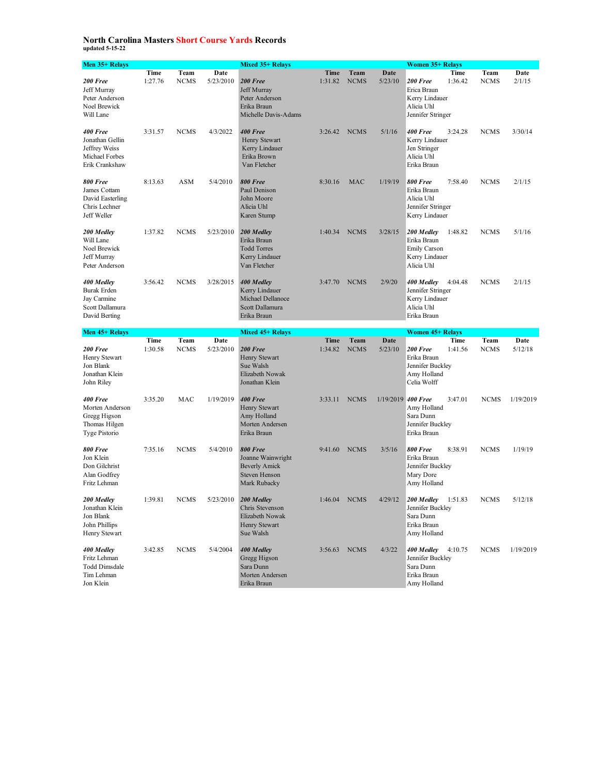| Men 35+ Relays                                                                   |                 |                     |                   | <b>Mixed 35+ Relays</b>                                                                |                 |                     |                    | <b>Women 35+ Relays</b>                                                          |                             |                     |                 |
|----------------------------------------------------------------------------------|-----------------|---------------------|-------------------|----------------------------------------------------------------------------------------|-----------------|---------------------|--------------------|----------------------------------------------------------------------------------|-----------------------------|---------------------|-----------------|
| 200 Free<br>Jeff Murray<br>Peter Anderson<br>Noel Brewick<br>Will Lane           | Time<br>1:27.76 | Team<br><b>NCMS</b> | Date<br>5/23/2010 | 200 Free<br>Jeff Murray<br>Peter Anderson<br>Erika Braun<br>Michelle Davis-Adams       | Time<br>1:31.82 | Team<br><b>NCMS</b> | Date<br>5/23/10    | 200 Free<br>Erica Braun<br>Kerry Lindauer<br>Alicia Uhl<br>Jennifer Stringer     | Time<br>1:36.42             | Team<br><b>NCMS</b> | Date<br>2/1/15  |
| 400 Free<br>Jonathan Gellin<br>Jeffrey Weiss<br>Michael Forbes<br>Erik Crankshaw | 3:31.57         | <b>NCMS</b>         | 4/3/2022          | 400 Free<br>Henry Stewart<br>Kerry Lindauer<br>Erika Brown<br>Van Fletcher             | 3:26.42         | <b>NCMS</b>         | 5/1/16             | 400 Free<br>Kerry Lindauer<br>Jen Stringer<br>Alicia Uhl<br>Erika Braun          | 3:24.28                     | <b>NCMS</b>         | 3/30/14         |
| 800 Free<br>James Cottam<br>David Easterling<br>Chris Lechner<br>Jeff Weller     | 8:13.63         | <b>ASM</b>          | 5/4/2010          | 800 Free<br>Paul Denison<br>John Moore<br>Alicia Uhl<br>Karen Stump                    | 8:30.16         | MAC                 | 1/19/19            | 800 Free<br>Erika Braun<br>Alicia Uhl<br>Jennifer Stringer<br>Kerry Lindauer     | 7:58.40                     | <b>NCMS</b>         | 2/1/15          |
| 200 Medley<br>Will Lane<br>Noel Brewick<br>Jeff Murray<br>Peter Anderson         | 1:37.82         | <b>NCMS</b>         | 5/23/2010         | 200 Medley<br>Erika Braun<br><b>Todd Torres</b><br>Kerry Lindauer<br>Van Fletcher      | 1:40.34         | <b>NCMS</b>         | 3/28/15            | 200 Medley<br>Erika Braun<br><b>Emily Carson</b><br>Kerry Lindauer<br>Alicia Uhl | 1:48.82                     | <b>NCMS</b>         | 5/1/16          |
| 400 Medley<br>Burak Erden<br>Jay Carmine<br>Scott Dallamura<br>David Berting     | 3:56.42         | <b>NCMS</b>         | 3/28/2015         | 400 Medley<br>Kerry Lindauer<br>Michael Dellanoce<br>Scott Dallamura<br>Erika Braun    | 3:47.70         | <b>NCMS</b>         | 2/9/20             | 400 Medley<br>Jennifer Stringer<br>Kerry Lindauer<br>Alicia Uhl<br>Erika Braun   | 4:04.48                     | <b>NCMS</b>         | 2/1/15          |
| Men 45+ Relays                                                                   |                 |                     |                   | <b>Mixed 45+ Relays</b>                                                                |                 |                     |                    | <b>Women 45+ Relays</b>                                                          |                             |                     |                 |
| 200 Free<br>Henry Stewart<br>Jon Blank<br>Jonathan Klein<br>John Riley           | Time<br>1:30.58 | Team<br><b>NCMS</b> | Date<br>5/23/2010 | 200 Free<br>Henry Stewart<br>Sue Walsh<br>Elizabeth Nowak<br>Jonathan Klein            | Time<br>1:34.82 | Team<br><b>NCMS</b> | Date<br>5/23/10    | 200 Free<br>Erika Braun<br>Jennifer Buckley<br>Amy Holland<br>Celia Wolff        | Time<br>1:41.56             | Team<br><b>NCMS</b> | Date<br>5/12/18 |
| 400 Free<br>Morten Anderson<br>Gregg Higson<br>Thomas Hilgen<br>Tyge Pistorio    | 3:35.20         | MAC                 | 1/19/2019         | 400 Free<br><b>Henry Stewart</b><br>Amy Holland<br>Morten Andersen<br>Erika Braun      | 3:33.11         | <b>NCMS</b>         | 1/19/2019 400 Free | Amy Holland<br>Sara Dunn<br>Jennifer Buckley<br>Erika Braun                      | 3:47.01                     | <b>NCMS</b>         | 1/19/2019       |
| 800 Free<br>Jon Klein<br>Don Gilchrist<br>Alan Godfrey<br>Fritz Lehman           | 7:35.16         | <b>NCMS</b>         | 5/4/2010          | 800 Free<br>Joanne Wainwright<br><b>Beverly Amick</b><br>Steven Henson<br>Mark Rubacky | 9:41.60         | <b>NCMS</b>         | 3/5/16             | <b>800 Free</b><br>Erika Braun<br>Jennifer Buckley<br>Mary Dore<br>Amy Holland   | 8:38.91                     | <b>NCMS</b>         | 1/19/19         |
| 200 Medley<br>Jonathan Klein<br>Jon Blank<br>John Phillips<br>Henry Stewart      | 1:39.81         | NCMS                | 5/23/2010         | 200 Medley<br>Chris Stevenson<br>Elizabeth Nowak<br>Henry Stewart<br>Sue Walsh         | 1:46.04         | <b>NCMS</b>         | 4/29/12            | 200 Medley<br>Jennifer Buckley<br>Sara Dunn<br>Erika Braun<br>Amy Holland        | 1:51.83                     | <b>NCMS</b>         | 5/12/18         |
| 400 Medley<br>Fritz Lehman                                                       | 3:42.85         | <b>NCMS</b>         | 5/4/2004          | <b>400 Medley</b>                                                                      | 3:56.63         | <b>NCMS</b>         | 4/3/22             | 400 Medley                                                                       | 4:10.75<br>Jennifer Buckley | <b>NCMS</b>         | 1/19/2019       |